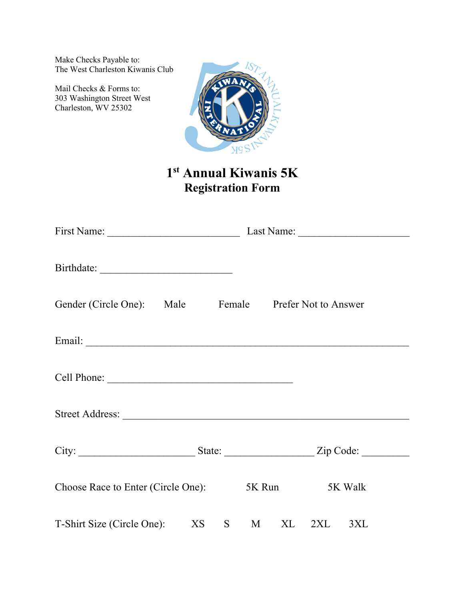Make Checks Payable to: The West Charleston Kiwanis Club

Mail Checks & Forms to: 303 Washington Street West Charleston, WV 25302



## **1st Annual Kiwanis 5K Registration Form**

| Birthdate:                                            |    |                |  |                |     |  |
|-------------------------------------------------------|----|----------------|--|----------------|-----|--|
| Gender (Circle One): Male Female Prefer Not to Answer |    |                |  |                |     |  |
|                                                       |    |                |  |                |     |  |
|                                                       |    |                |  |                |     |  |
|                                                       |    |                |  |                |     |  |
|                                                       |    |                |  |                |     |  |
| Choose Race to Enter (Circle One):                    |    |                |  | 5K Run 5K Walk |     |  |
| T-Shirt Size (Circle One): XS                         | S. | M <sub>1</sub> |  | XL 2XL         | 3XL |  |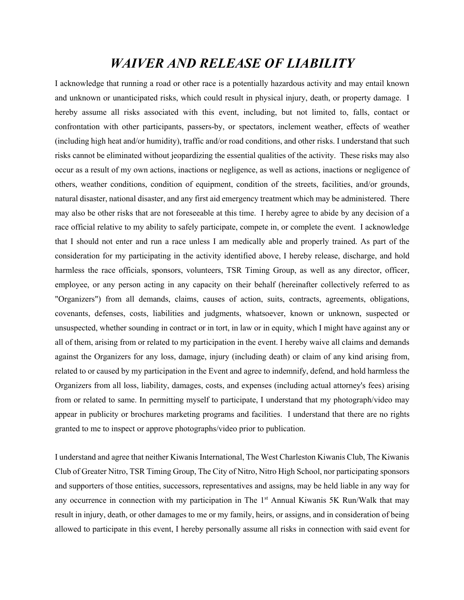## *WAIVER AND RELEASE OF LIABILITY*

I acknowledge that running a road or other race is a potentially hazardous activity and may entail known and unknown or unanticipated risks, which could result in physical injury, death, or property damage. I hereby assume all risks associated with this event, including, but not limited to, falls, contact or confrontation with other participants, passers-by, or spectators, inclement weather, effects of weather (including high heat and/or humidity), traffic and/or road conditions, and other risks. I understand that such risks cannot be eliminated without jeopardizing the essential qualities of the activity. These risks may also occur as a result of my own actions, inactions or negligence, as well as actions, inactions or negligence of others, weather conditions, condition of equipment, condition of the streets, facilities, and/or grounds, natural disaster, national disaster, and any first aid emergency treatment which may be administered. There may also be other risks that are not foreseeable at this time. I hereby agree to abide by any decision of a race official relative to my ability to safely participate, compete in, or complete the event. I acknowledge that I should not enter and run a race unless I am medically able and properly trained. As part of the consideration for my participating in the activity identified above, I hereby release, discharge, and hold harmless the race officials, sponsors, volunteers, TSR Timing Group, as well as any director, officer, employee, or any person acting in any capacity on their behalf (hereinafter collectively referred to as "Organizers") from all demands, claims, causes of action, suits, contracts, agreements, obligations, covenants, defenses, costs, liabilities and judgments, whatsoever, known or unknown, suspected or unsuspected, whether sounding in contract or in tort, in law or in equity, which I might have against any or all of them, arising from or related to my participation in the event. I hereby waive all claims and demands against the Organizers for any loss, damage, injury (including death) or claim of any kind arising from, related to or caused by my participation in the Event and agree to indemnify, defend, and hold harmless the Organizers from all loss, liability, damages, costs, and expenses (including actual attorney's fees) arising from or related to same. In permitting myself to participate, I understand that my photograph/video may appear in publicity or brochures marketing programs and facilities. I understand that there are no rights granted to me to inspect or approve photographs/video prior to publication.

I understand and agree that neither Kiwanis International, The West Charleston Kiwanis Club, The Kiwanis Club of Greater Nitro, TSR Timing Group, The City of Nitro, Nitro High School, nor participating sponsors and supporters of those entities, successors, representatives and assigns, may be held liable in any way for any occurrence in connection with my participation in The  $1<sup>st</sup>$  Annual Kiwanis 5K Run/Walk that may result in injury, death, or other damages to me or my family, heirs, or assigns, and in consideration of being allowed to participate in this event, I hereby personally assume all risks in connection with said event for